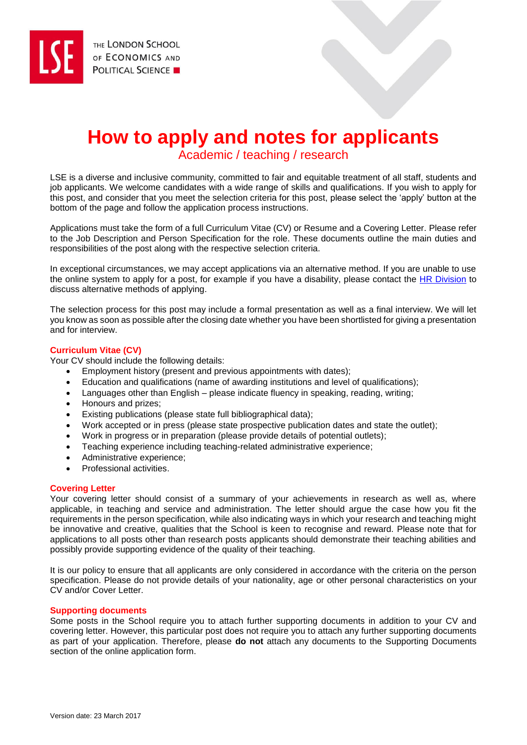# **How to apply and notes for applicants**

Academic / teaching / research

LSE is a diverse and inclusive community, committed to fair and equitable treatment of all staff, students and job applicants. We welcome candidates with a wide range of skills and qualifications. If you wish to apply for this post, and consider that you meet the selection criteria for this post, please select the 'apply' button at the bottom of the page and follow the application process instructions.

Applications must take the form of a full Curriculum Vitae (CV) or Resume and a Covering Letter. Please refer to the Job Description and Person Specification for the role. These documents outline the main duties and responsibilities of the post along with the respective selection criteria.

In exceptional circumstances, we may accept applications via an alternative method. If you are unable to use the online system to apply for a post, for example if you have a disability, please contact the [HR Division](mailto:hr.jobs@lse.ac.uk) to discuss alternative methods of applying.

The selection process for this post may include a formal presentation as well as a final interview. We will let you know as soon as possible after the closing date whether you have been shortlisted for giving a presentation and for interview.

# **Curriculum Vitae (CV)**

Your CV should include the following details:

- Employment history (present and previous appointments with dates);
- Education and qualifications (name of awarding institutions and level of qualifications);
- Languages other than English please indicate fluency in speaking, reading, writing;
- Honours and prizes;
- Existing publications (please state full bibliographical data);
- Work accepted or in press (please state prospective publication dates and state the outlet);
- Work in progress or in preparation (please provide details of potential outlets);
- Teaching experience including teaching-related administrative experience;
- Administrative experience:
- Professional activities.

# **Covering Letter**

Your covering letter should consist of a summary of your achievements in research as well as, where applicable, in teaching and service and administration. The letter should argue the case how you fit the requirements in the person specification, while also indicating ways in which your research and teaching might be innovative and creative, qualities that the School is keen to recognise and reward. Please note that for applications to all posts other than research posts applicants should demonstrate their teaching abilities and possibly provide supporting evidence of the quality of their teaching.

It is our policy to ensure that all applicants are only considered in accordance with the criteria on the person specification. Please do not provide details of your nationality, age or other personal characteristics on your CV and/or Cover Letter.

# **Supporting documents**

Some posts in the School require you to attach further supporting documents in addition to your CV and covering letter. However, this particular post does not require you to attach any further supporting documents as part of your application. Therefore, please **do not** attach any documents to the Supporting Documents section of the online application form.